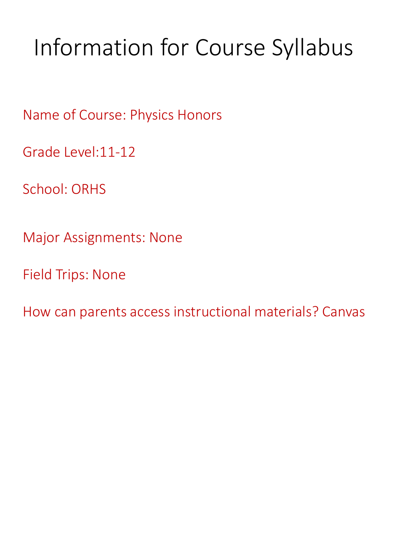## Information for Course Syllabus

Name of Course: Physics Honors

Grade Level:11-12

School: ORHS

Major Assignments: None

Field Trips: None

How can parents access instructional materials? Canvas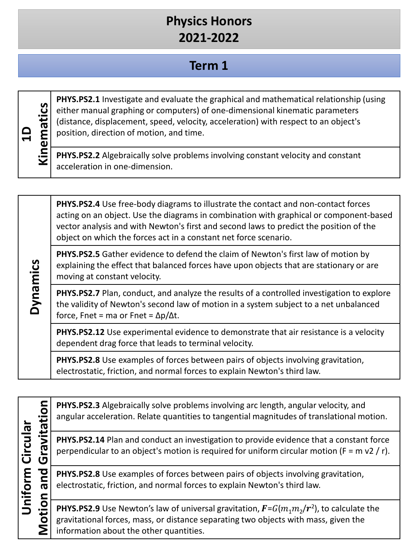#### **Term 1**

**Dynamics**

**PHYS.PS2.1** Investigate and evaluate the graphical and mathematical relationship (using either manual graphing or computers) of one-dimensional kinematic parameters (distance, displacement, speed, velocity, acceleration) with respect to an object's position, direction of motion, and time.

**PHYS.PS2.2** Algebraically solve problems involving constant velocity and constant acceleration in one-dimension.

**PHYS.PS2.4** Use free-body diagrams to illustrate the contact and non-contact forces acting on an object. Use the diagrams in combination with graphical or component-based vector analysis and with Newton's first and second laws to predict the position of the object on which the forces act in a constant net force scenario.

**PHYS.PS2.5** Gather evidence to defend the claim of Newton's first law of motion by explaining the effect that balanced forces have upon objects that are stationary or are moving at constant velocity.

**PHYS.PS2.7** Plan, conduct, and analyze the results of a controlled investigation to explore the validity of Newton's second law of motion in a system subject to a net unbalanced force, Fnet = ma or Fnet =  $\Delta p/\Delta t$ .

**PHYS.PS2.12** Use experimental evidence to demonstrate that air resistance is a velocity dependent drag force that leads to terminal velocity.

**PHYS.PS2.8** Use examples of forces between pairs of objects involving gravitation, electrostatic, friction, and normal forces to explain Newton's third law.

| $\vec{E}$             | ravitation | PHYS.PS2.3 Algebraically solve problems involving arc length, angular velocity, and<br>angular acceleration. Relate quantities to tangential magnitudes of translational motion.                                                      |
|-----------------------|------------|---------------------------------------------------------------------------------------------------------------------------------------------------------------------------------------------------------------------------------------|
| Circul                | 0)         | PHYS.PS2.14 Plan and conduct an investigation to provide evidence that a constant force<br>perpendicular to an object's motion is required for uniform circular motion ( $F = m v2 / r$ ).                                            |
|                       |            | PHYS.PS2.8 Use examples of forces between pairs of objects involving gravitation,<br>electrostatic, friction, and normal forces to explain Newton's third law.                                                                        |
| Uniform<br>Motion and |            | <b>PHYS.PS2.9</b> Use Newton's law of universal gravitation, $F = G(m_1m_2/r^2)$ , to calculate the<br>gravitational forces, mass, or distance separating two objects with mass, given the<br>information about the other quantities. |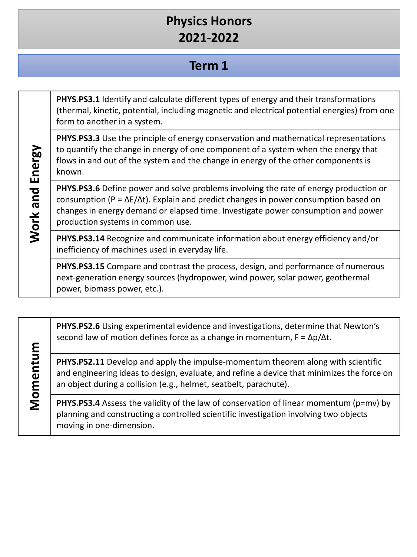#### **Term 1**

**PHYS.PS3.1** Identify and calculate different types of energy and their transformations (thermal, kinetic, potential, including magnetic and electrical potential energies) from one form to another in a system.

**PHYS.PS3.3** Use the principle of energy conservation and mathematical representations to quantify the change in energy of one component of a system when the energy that flows in and out of the system and the change in energy of the other components is known.

**PHYS.PS3.6** Define power and solve problems involving the rate of energy production or consumption ( $P = \Delta E/\Delta t$ ). Explain and predict changes in power consumption based on changes in energy demand or elapsed time. Investigate power consumption and power production systems in common use.

**PHYS.PS3.14** Recognize and communicate information about energy efficiency and/or inefficiency of machines used in everyday life.

**PHYS.PS3.15** Compare and contrast the process, design, and performance of numerous next-generation energy sources (hydropower, wind power, solar power, geothermal power, biomass power, etc.).

**PHYS.PS2.6** Using experimental evidence and investigations, determine that Newton's second law of motion defines force as a change in momentum,  $F = \Delta p / \Delta t$ .

**PHYS.PS2.11** Develop and apply the impulse-momentum theorem along with scientific and engineering ideas to design, evaluate, and refine a device that minimizes the force on an object during a collision (e.g., helmet, seatbelt, parachute).

**PHYS.PS3.4** Assess the validity of the law of conservation of linear momentum (p=mv) by planning and constructing a controlled scientific investigation involving two objects moving in one-dimension.

# Work and Energy **Work and Energy**

**Momentum**

Momentum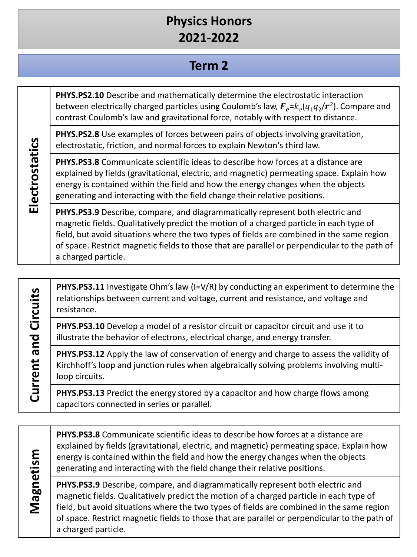### **Term 2**

**PHYS.PS2.10** Describe and mathematically determine the electrostatic interaction between electrically charged particles using Coulomb's law,  $\mathbf{F}_e = k_e(q_1q_2/r^2)$ . Compare and contrast Coulomb's law and gravitational force, notably with respect to distance.

**PHYS.PS2.8** Use examples of forces between pairs of objects involving gravitation, electrostatic, friction, and normal forces to explain Newton's third law.

**PHYS.PS3.8** Communicate scientific ideas to describe how forces at a distance are explained by fields (gravitational, electric, and magnetic) permeating space. Explain how energy is contained within the field and how the energy changes when the objects generating and interacting with the field change their relative positions.

**PHYS.PS3.9** Describe, compare, and diagrammatically represent both electric and magnetic fields. Qualitatively predict the motion of a charged particle in each type of field, but avoid situations where the two types of fields are combined in the same region of space. Restrict magnetic fields to those that are parallel or perpendicular to the path of a charged particle.

**PHYS.PS3.11** Investigate Ohm's law (I=V/R) by conducting an experiment to determine the relationships between current and voltage, current and resistance, and voltage and resistance.

**PHYS.PS3.10** Develop a model of a resistor circuit or capacitor circuit and use it to illustrate the behavior of electrons, electrical charge, and energy transfer.

**PHYS.PS3.12** Apply the law of conservation of energy and charge to assess the validity of Kirchhoff's loop and junction rules when algebraically solving problems involving multiloop circuits.

**PHYS.PS3.13** Predict the energy stored by a capacitor and how charge flows among capacitors connected in series or parallel.

Magnetism **Magnetism**

**Current and Circuits**

Current and Circuits

**PHYS.PS3.8** Communicate scientific ideas to describe how forces at a distance are explained by fields (gravitational, electric, and magnetic) permeating space. Explain how energy is contained within the field and how the energy changes when the objects generating and interacting with the field change their relative positions.

**PHYS.PS3.9** Describe, compare, and diagrammatically represent both electric and magnetic fields. Qualitatively predict the motion of a charged particle in each type of field, but avoid situations where the two types of fields are combined in the same region of space. Restrict magnetic fields to those that are parallel or perpendicular to the path of a charged particle.

Electrostatics **Electrostatics**